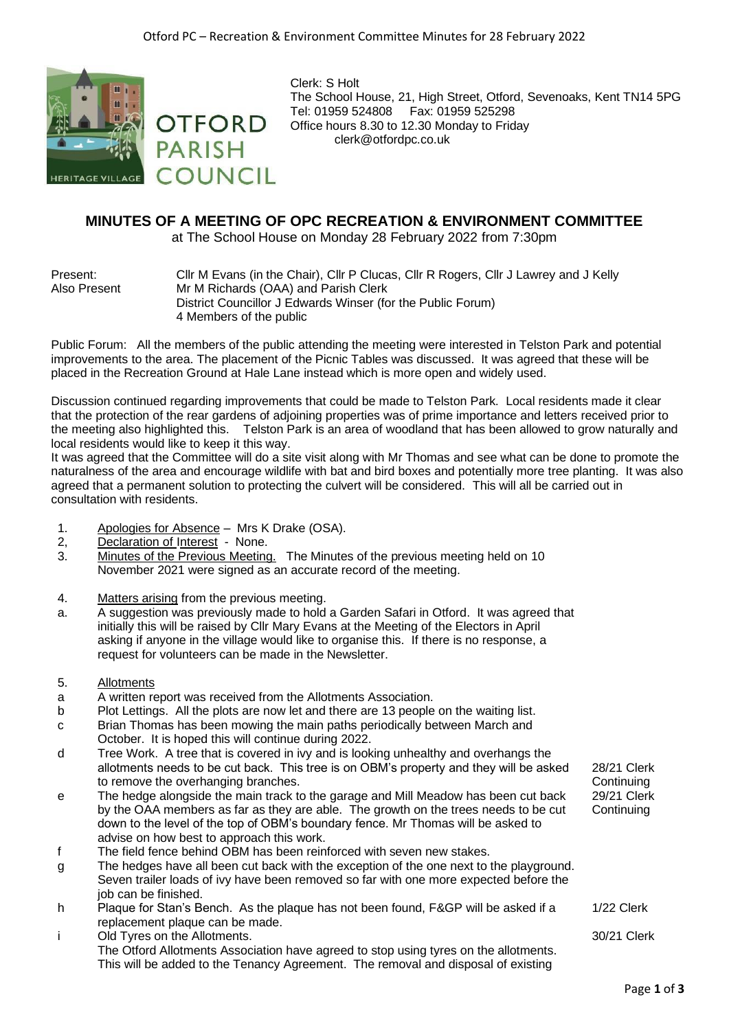

Clerk: S Holt The School House, 21, High Street, Otford, Sevenoaks, Kent TN14 5PG Tel: 01959 524808 Fax: 01959 525298 Office hours 8.30 to 12.30 Monday to Friday clerk@otfordpc.co.uk

## **MINUTES OF A MEETING OF OPC RECREATION & ENVIRONMENT COMMITTEE**

at The School House on Monday 28 February 2022 from 7:30pm

Present: Cllr M Evans (in the Chair), Cllr P Clucas, Cllr R Rogers, Cllr J Lawrey and J Kelly Also Present Mr M Richards (OAA) and Parish Clerk District Councillor J Edwards Winser (for the Public Forum) 4 Members of the public

Public Forum: All the members of the public attending the meeting were interested in Telston Park and potential improvements to the area. The placement of the Picnic Tables was discussed. It was agreed that these will be placed in the Recreation Ground at Hale Lane instead which is more open and widely used.

Discussion continued regarding improvements that could be made to Telston Park. Local residents made it clear that the protection of the rear gardens of adjoining properties was of prime importance and letters received prior to the meeting also highlighted this. Telston Park is an area of woodland that has been allowed to grow naturally and local residents would like to keep it this way.

It was agreed that the Committee will do a site visit along with Mr Thomas and see what can be done to promote the naturalness of the area and encourage wildlife with bat and bird boxes and potentially more tree planting. It was also agreed that a permanent solution to protecting the culvert will be considered. This will all be carried out in consultation with residents.

- 1. Apologies for Absence Mrs K Drake (OSA).
- 2, Declaration of Interest None.
- 3. Minutes of the Previous Meeting. The Minutes of the previous meeting held on 10 November 2021 were signed as an accurate record of the meeting.
- 4. Matters arising from the previous meeting.
- a. A suggestion was previously made to hold a Garden Safari in Otford. It was agreed that initially this will be raised by Cllr Mary Evans at the Meeting of the Electors in April asking if anyone in the village would like to organise this. If there is no response, a request for volunteers can be made in the Newsletter.
- 5. Allotments
- a A written report was received from the Allotments Association.
- b Plot Lettings. All the plots are now let and there are 13 people on the waiting list.
- c Brian Thomas has been mowing the main paths periodically between March and October. It is hoped this will continue during 2022.
- d Tree Work. A tree that is covered in ivy and is looking unhealthy and overhangs the allotments needs to be cut back. This tree is on OBM's property and they will be asked to remove the overhanging branches.
- e The hedge alongside the main track to the garage and Mill Meadow has been cut back by the OAA members as far as they are able. The growth on the trees needs to be cut down to the level of the top of OBM's boundary fence. Mr Thomas will be asked to advise on how best to approach this work.
- f The field fence behind OBM has been reinforced with seven new stakes.
- g The hedges have all been cut back with the exception of the one next to the playground. Seven trailer loads of ivy have been removed so far with one more expected before the job can be finished.
- h Plaque for Stan's Bench. As the plaque has not been found, F&GP will be asked if a replacement plaque can be made. 1/22 Clerk
- i Old Tyres on the Allotments. The Otford Allotments Association have agreed to stop using tyres on the allotments. This will be added to the Tenancy Agreement. The removal and disposal of existing 30/21 Clerk

28/21 Clerk **Continuing** 

29/21 Clerk **Continuing**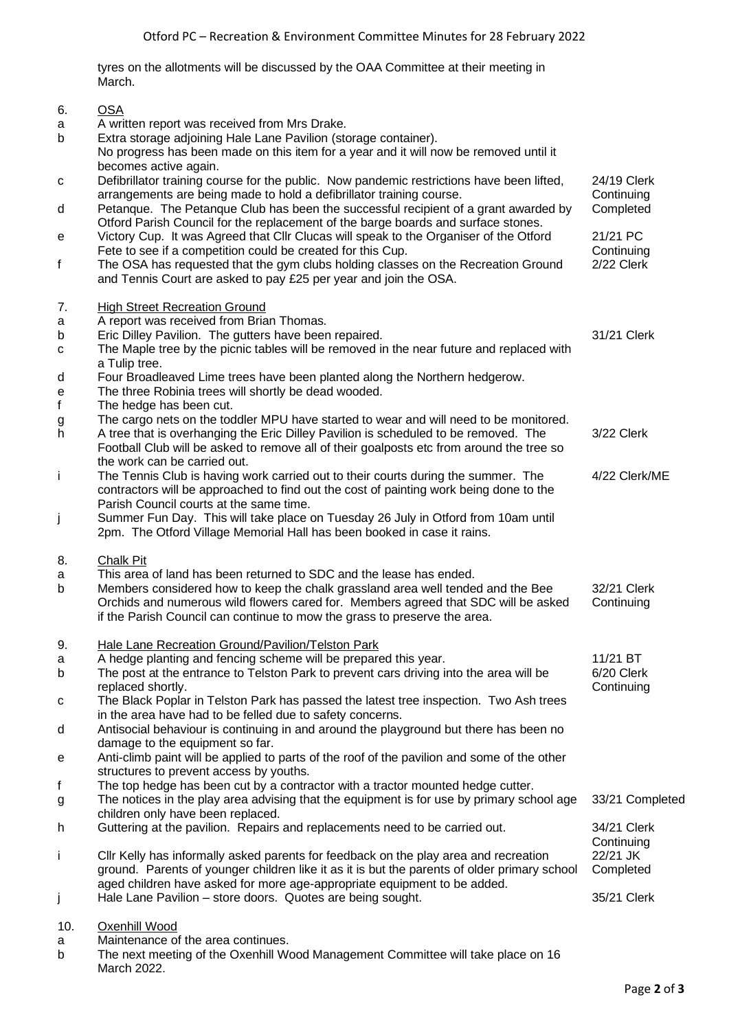tyres on the allotments will be discussed by the OAA Committee at their meeting in March.

## 6. OSA a A written report was received from Mrs Drake. b Extra storage adjoining Hale Lane Pavilion (storage container). No progress has been made on this item for a year and it will now be removed until it becomes active again. c Defibrillator training course for the public. Now pandemic restrictions have been lifted, arrangements are being made to hold a defibrillator training course. 24/19 Clerk **Continuing** d Petanque. The Petanque Club has been the successful recipient of a grant awarded by Otford Parish Council for the replacement of the barge boards and surface stones. Completed e Victory Cup. It was Agreed that Cllr Clucas will speak to the Organiser of the Otford Fete to see if a competition could be created for this Cup. 21/21 PC **Continuing** f The OSA has requested that the gym clubs holding classes on the Recreation Ground and Tennis Court are asked to pay £25 per year and join the OSA. 2/22 Clerk 7. High Street Recreation Ground a A report was received from Brian Thomas. b Eric Dilley Pavilion. The gutters have been repaired. Some that the State State S1/21 Clerk c The Maple tree by the picnic tables will be removed in the near future and replaced with a Tulip tree. d Four Broadleaved Lime trees have been planted along the Northern hedgerow. e The three Robinia trees will shortly be dead wooded. f The hedge has been cut. g The cargo nets on the toddler MPU have started to wear and will need to be monitored. h A tree that is overhanging the Eric Dilley Pavilion is scheduled to be removed. The Football Club will be asked to remove all of their goalposts etc from around the tree so the work can be carried out. 3/22 Clerk i The Tennis Club is having work carried out to their courts during the summer. The contractors will be approached to find out the cost of painting work being done to the Parish Council courts at the same time. 4/22 Clerk/ME j Summer Fun Day. This will take place on Tuesday 26 July in Otford from 10am until 2pm. The Otford Village Memorial Hall has been booked in case it rains. 8. Chalk Pit a b This area of land has been returned to SDC and the lease has ended. Members considered how to keep the chalk grassland area well tended and the Bee Orchids and numerous wild flowers cared for. Members agreed that SDC will be asked if the Parish Council can continue to mow the grass to preserve the area. 32/21 Clerk **Continuing** 9. Hale Lane Recreation Ground/Pavilion/Telston Park a A hedge planting and fencing scheme will be prepared this year. 11/21 BT b The post at the entrance to Telston Park to prevent cars driving into the area will be replaced shortly. 6/20 Clerk **Continuing** c The Black Poplar in Telston Park has passed the latest tree inspection. Two Ash trees in the area have had to be felled due to safety concerns. d Antisocial behaviour is continuing in and around the playground but there has been no damage to the equipment so far. e Anti-climb paint will be applied to parts of the roof of the pavilion and some of the other structures to prevent access by youths. f The top hedge has been cut by a contractor with a tractor mounted hedge cutter. g The notices in the play area advising that the equipment is for use by primary school age children only have been replaced. 33/21 Completed h Guttering at the pavilion. Repairs and replacements need to be carried out. 34/21 Clerk **Continuing** i Cllr Kelly has informally asked parents for feedback on the play area and recreation ground. Parents of younger children like it as it is but the parents of older primary school aged children have asked for more age-appropriate equipment to be added. 22/21 JK Completed j Hale Lane Pavilion – store doors. Quotes are being sought. 35/21 Clerk

## 10. Oxenhill Wood

- a Maintenance of the area continues.
- b The next meeting of the Oxenhill Wood Management Committee will take place on 16 March 2022.